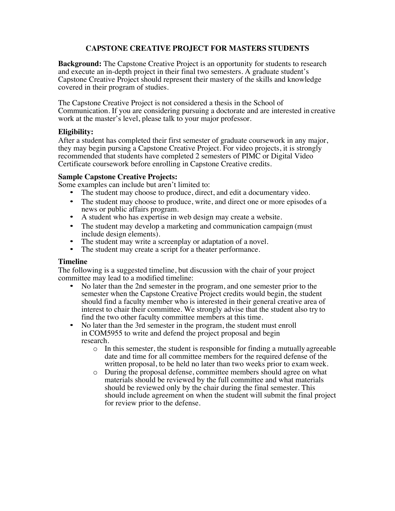# **CAPSTONE CREATIVE PROJECT FOR MASTERS STUDENTS**

**Background:** The Capstone Creative Project is an opportunity for students to research and execute an in-depth project in their final two semesters. A graduate student's Capstone Creative Project should represent their mastery of the skills and knowledge covered in their program of studies.

The Capstone Creative Project is not considered a thesis in the School of Communication. If you are considering pursuing a doctorate and are interested in creative work at the master's level, please talk to your major professor.

# **Eligibility:**

After a student has completed their first semester of graduate coursework in any major, they may begin pursing a Capstone Creative Project. For video projects, it is strongly recommended that students have completed 2 semesters of PIMC or Digital Video Certificate coursework before enrolling in Capstone Creative credits.

## **Sample Capstone Creative Projects:**

Some examples can include but aren't limited to:

- The student may choose to produce, direct, and edit a documentary video.
- The student may choose to produce, write, and direct one or more episodes of a news or public affairs program.
- A student who has expertise in web design may create a website.
- The student may develop a marketing and communication campaign (must) include design elements).
- The student may write a screenplay or adaptation of a novel.<br>• The student may create a script for a theater performance.
- The student may create a script for a theater performance.

## **Timeline**

The following is a suggested timeline, but discussion with the chair of your project committee may lead to a modified timeline:

- No later than the 2nd semester in the program, and one semester prior to the semester when the Capstone Creative Project credits would begin, the student should find a faculty member who is interested in their general creative area of interest to chair their committee. We strongly advise that the student also try to find the two other faculty committee members at this time.
- No later than the 3rd semester in the program, the student must enroll in COM5955 to write and defend the project proposal and begin research.
	- $\circ$  In this semester, the student is responsible for finding a mutually agreeable date and time for all committee members for the required defense of the written proposal, to be held no later than two weeks prior to exam week.
	- o During the proposal defense, committee members should agree on what materials should be reviewed by the full committee and what materials should be reviewed only by the chair during the final semester. This should include agreement on when the student will submit the final project for review prior to the defense.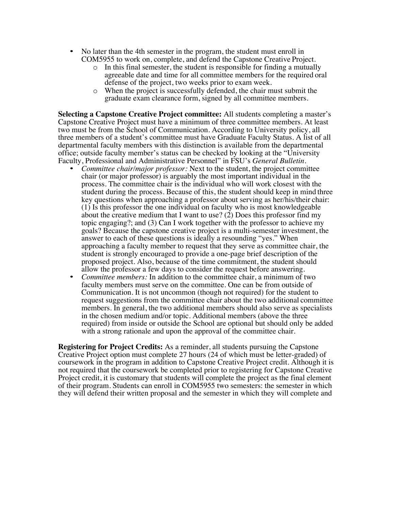- No later than the 4th semester in the program, the student must enroll in COM5955 to work on, complete, and defend the Capstone Creative Project.
	- o In this final semester, the student is responsible for finding a mutually agreeable date and time for all committee members for the required oral defense of the project, two weeks prior to exam week.
	- o When the project is successfully defended, the chair must submit the graduate exam clearance form, signed by all committee members.

**Selecting a Capstone Creative Project committee:** All students completing a master's Capstone Creative Project must have a minimum of three committee members. At least two must be from the School of Communication. According to University policy, all three members of a student's committee must have Graduate Faculty Status. A list of all departmental faculty members with this distinction is available from the departmental office; outside faculty member's status can be checked by looking at the "University Faculty, Professional and Administrative Personnel" in FSU's *General Bulletin*.

- *Committee chair/major professor:* Next to the student, the project committee chair (or major professor) is arguably the most important individual in the process. The committee chair is the individual who will work closest with the student during the process. Because of this, the student should keep in mind three key questions when approaching a professor about serving as her/his/their chair: (1) Is this professor the one individual on faculty who is most knowledgeable about the creative medium that I want to use? (2) Does this professor find my topic engaging?; and (3) Can I work together with the professor to achieve my goals? Because the capstone creative project is a multi-semester investment, the answer to each of these questions is ideally a resounding "yes." When approaching a faculty member to request that they serve as committee chair, the student is strongly encouraged to provide a one-page brief description of the proposed project. Also, because of the time commitment, the student should allow the professor a few days to consider the request before answering.
- *Committee members:* In addition to the committee chair, a minimum of two faculty members must serve on the committee. One can be from outside of Communication. It is not uncommon (though not required) for the student to request suggestions from the committee chair about the two additional committee members. In general, the two additional members should also serve as specialists in the chosen medium and/or topic. Additional members (above the three required) from inside or outside the School are optional but should only be added with a strong rationale and upon the approval of the committee chair.

**Registering for Project Credits:** As a reminder, all students pursuing the Capstone Creative Project option must complete 27 hours (24 of which must be letter-graded) of coursework in the program in addition to Capstone Creative Project credit. Although it is not required that the coursework be completed prior to registering for Capstone Creative Project credit, it is customary that students will complete the project as the final element of their program. Students can enroll in COM5955 two semesters: the semester in which they will defend their written proposal and the semester in which they will complete and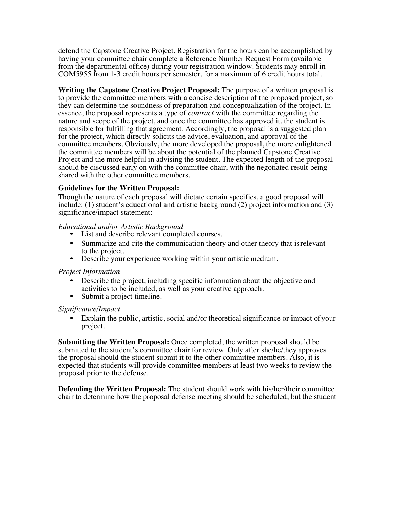defend the Capstone Creative Project. Registration for the hours can be accomplished by having your committee chair complete a Reference Number Request Form (available from the departmental office) during your registration window. Students may enroll in COM5955 from 1-3 credit hours per semester, for a maximum of 6 credit hours total.

**Writing the Capstone Creative Project Proposal:** The purpose of a written proposal is to provide the committee members with a concise description of the proposed project, so they can determine the soundness of preparation and conceptualization of the project. In essence, the proposal represents a type of *contract* with the committee regarding the nature and scope of the project, and once the committee has approved it, the student is responsible for fulfilling that agreement. Accordingly, the proposal is a suggested plan for the project, which directly solicits the advice, evaluation, and approval of the committee members. Obviously, the more developed the proposal, the more enlightened the committee members will be about the potential of the planned Capstone Creative Project and the more helpful in advising the student. The expected length of the proposal should be discussed early on with the committee chair, with the negotiated result being shared with the other committee members.

### **Guidelines for the Written Proposal:**

Though the nature of each proposal will dictate certain specifics, a good proposal will include: (1) student's educational and artistic background (2) project information and (3) significance/impact statement:

### *Educational and/or Artistic Background*

- List and describe relevant completed courses.
- Summarize and cite the communication theory and other theory that is relevant to the project.
- Describe your experience working within your artistic medium.

#### *Project Information*

- Describe the project, including specific information about the objective and activities to be included, as well as your creative approach.
- Submit a project timeline.

#### *Significance/Impact*

Explain the public, artistic, social and/or theoretical significance or impact of your project.

**Submitting the Written Proposal:** Once completed, the written proposal should be submitted to the student's committee chair for review. Only after she/he/they approves the proposal should the student submit it to the other committee members. Also, it is expected that students will provide committee members at least two weeks to review the proposal prior to the defense.

**Defending the Written Proposal:** The student should work with his/her/their committee chair to determine how the proposal defense meeting should be scheduled, but the student